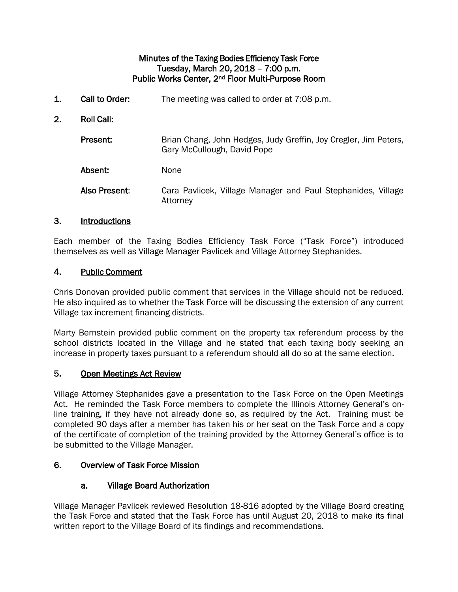#### Minutes of the Taxing Bodies Efficiency Task Force Tuesday, March 20, 2018 – 7:00 p.m. Public Works Center, 2nd Floor Multi-Purpose Room

1. Call to Order: The meeting was called to order at 7:08 p.m. 2. Roll Call: Present: Brian Chang, John Hedges, Judy Greffin, Joy Cregler, Jim Peters, Gary McCullough, David Pope Absent: None Also Present: Cara Pavlicek, Village Manager and Paul Stephanides, Village Attorney

# 3. Introductions

Each member of the Taxing Bodies Efficiency Task Force ("Task Force") introduced themselves as well as Village Manager Pavlicek and Village Attorney Stephanides.

### 4. Public Comment

Chris Donovan provided public comment that services in the Village should not be reduced. He also inquired as to whether the Task Force will be discussing the extension of any current Village tax increment financing districts.

Marty Bernstein provided public comment on the property tax referendum process by the school districts located in the Village and he stated that each taxing body seeking an increase in property taxes pursuant to a referendum should all do so at the same election.

# 5. Open Meetings Act Review

Village Attorney Stephanides gave a presentation to the Task Force on the Open Meetings Act. He reminded the Task Force members to complete the Illinois Attorney General's online training, if they have not already done so, as required by the Act. Training must be completed 90 days after a member has taken his or her seat on the Task Force and a copy of the certificate of completion of the training provided by the Attorney General's office is to be submitted to the Village Manager.

### 6. Overview of Task Force Mission

# a. Village Board Authorization

Village Manager Pavlicek reviewed Resolution 18-816 adopted by the Village Board creating the Task Force and stated that the Task Force has until August 20, 2018 to make its final written report to the Village Board of its findings and recommendations.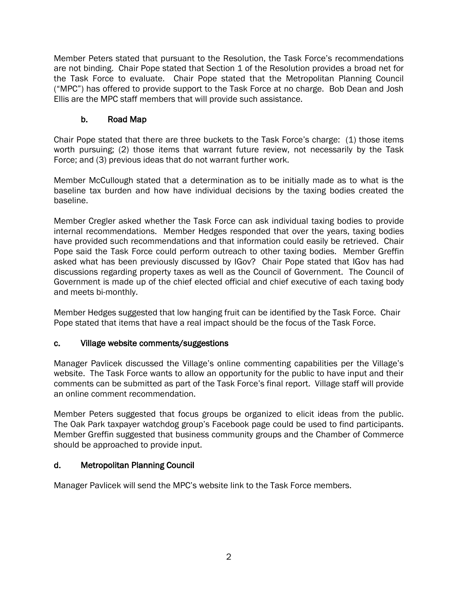Member Peters stated that pursuant to the Resolution, the Task Force's recommendations are not binding. Chair Pope stated that Section 1 of the Resolution provides a broad net for the Task Force to evaluate. Chair Pope stated that the Metropolitan Planning Council ("MPC") has offered to provide support to the Task Force at no charge. Bob Dean and Josh Ellis are the MPC staff members that will provide such assistance.

# b. Road Map

Chair Pope stated that there are three buckets to the Task Force's charge: (1) those items worth pursuing; (2) those items that warrant future review, not necessarily by the Task Force; and (3) previous ideas that do not warrant further work.

Member McCullough stated that a determination as to be initially made as to what is the baseline tax burden and how have individual decisions by the taxing bodies created the baseline.

Member Cregler asked whether the Task Force can ask individual taxing bodies to provide internal recommendations. Member Hedges responded that over the years, taxing bodies have provided such recommendations and that information could easily be retrieved. Chair Pope said the Task Force could perform outreach to other taxing bodies. Member Greffin asked what has been previously discussed by IGov? Chair Pope stated that IGov has had discussions regarding property taxes as well as the Council of Government. The Council of Government is made up of the chief elected official and chief executive of each taxing body and meets bi-monthly.

Member Hedges suggested that low hanging fruit can be identified by the Task Force. Chair Pope stated that items that have a real impact should be the focus of the Task Force.

# c. Village website comments/suggestions

Manager Pavlicek discussed the Village's online commenting capabilities per the Village's website. The Task Force wants to allow an opportunity for the public to have input and their comments can be submitted as part of the Task Force's final report. Village staff will provide an online comment recommendation.

Member Peters suggested that focus groups be organized to elicit ideas from the public. The Oak Park taxpayer watchdog group's Facebook page could be used to find participants. Member Greffin suggested that business community groups and the Chamber of Commerce should be approached to provide input.

# d. Metropolitan Planning Council

Manager Pavlicek will send the MPC's website link to the Task Force members.